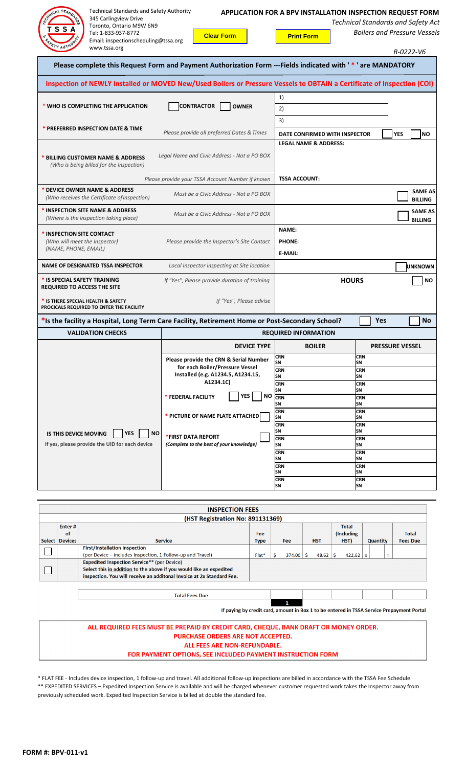| <b>Technical Standards and Safety Authority</b><br>CHAICAL STAND<br>345 Carlingview Drive<br>Toronto, Ontario M9W 6N9<br>S S<br>Tel: 1-833-937-8772<br>Email: inspectionscheduling@tssa.org<br>www.tssa.org | <b>Clear Form</b>                                                                                           | APPLICATION FOR A BPV INSTALLATION INSPECTION REQUEST FORM<br><b>Print Form</b> | <b>Technical Standards and Safety Act</b><br><b>Boilers and Pressure Vessels</b><br>R-0222-V6 |  |  |  |  |  |
|-------------------------------------------------------------------------------------------------------------------------------------------------------------------------------------------------------------|-------------------------------------------------------------------------------------------------------------|---------------------------------------------------------------------------------|-----------------------------------------------------------------------------------------------|--|--|--|--|--|
|                                                                                                                                                                                                             | Please complete this Request Form and Payment Authorization Form ---Fields indicated with '*' are MANDATORY |                                                                                 |                                                                                               |  |  |  |  |  |
| Inspection of NEWLY Installed or MOVED New/Used Boilers or Pressure Vessels to OBTAIN a Certificate of Inspection (COI)                                                                                     |                                                                                                             |                                                                                 |                                                                                               |  |  |  |  |  |
| * WHO IS COMPLETING THE APPLICATION                                                                                                                                                                         |                                                                                                             | 1)                                                                              |                                                                                               |  |  |  |  |  |
|                                                                                                                                                                                                             | <b>CONTRACTOR</b><br><b>OWNER</b>                                                                           | 2)                                                                              |                                                                                               |  |  |  |  |  |
| * PREFERRED INSPECTION DATE & TIME                                                                                                                                                                          |                                                                                                             | 3)                                                                              |                                                                                               |  |  |  |  |  |
|                                                                                                                                                                                                             | Please provide all preferred Dates & Times                                                                  | DATE CONFIRMED WITH INSPECTOR<br><b>LEGAL NAME &amp; ADDRESS:</b>               | <b>YES</b><br><b>NO</b>                                                                       |  |  |  |  |  |
| * BILLING CUSTOMER NAME & ADDRESS<br>(Who is being billed for the Inspection)                                                                                                                               | Legal Name and Civic Address - Not a PO BOX                                                                 |                                                                                 |                                                                                               |  |  |  |  |  |
|                                                                                                                                                                                                             | Please provide your TSSA Account Number if known                                                            | <b>TSSA ACCOUNT:</b>                                                            |                                                                                               |  |  |  |  |  |
| DEVICE OWNER NAME & ADDRESS<br>(Who receives the Certificate of Inspection)                                                                                                                                 | Must be a Civic Address - Not a PO BOX                                                                      |                                                                                 | <b>SAME AS</b><br><b>BILLING</b>                                                              |  |  |  |  |  |
| * INSPECTION SITE NAME & ADDRESS<br>(Where is the inspection taking place)                                                                                                                                  | Must be a Civic Address - Not a PO BOX                                                                      |                                                                                 | <b>SAME AS</b><br><b>BILLING</b>                                                              |  |  |  |  |  |
| <b>INSPECTION SITE CONTACT</b><br>(Who will meet the Inspector)<br>(NAME, PHONE, EMAIL)                                                                                                                     | Please provide the Inspector's Site Contact                                                                 | NAME:<br><b>PHONE:</b><br>E-MAIL:                                               |                                                                                               |  |  |  |  |  |
| <b>NAME OF DESIGNATED TSSA INSPECTOR</b>                                                                                                                                                                    | Local Inspector inspecting at Site location                                                                 |                                                                                 | <b>UNKNOWN</b>                                                                                |  |  |  |  |  |
| * IS SPECIAL SAFETY TRAINING<br><b>REQUIRED TO ACCESS THE SITE</b>                                                                                                                                          | If "Yes", Please provide duration of training                                                               | <b>HOURS</b>                                                                    | <b>NO</b>                                                                                     |  |  |  |  |  |
| * IS THERE SPECIAL HEALTH & SAFETY<br>PROCICALS REQUIRED TO ENTER THE FACILITY                                                                                                                              | If "Yes", Please advise                                                                                     |                                                                                 |                                                                                               |  |  |  |  |  |
| *Is the facility a Hospital, Long Term Care Facility, Retirement Home or Post-Secondary School?                                                                                                             |                                                                                                             |                                                                                 | Yes<br><b>No</b>                                                                              |  |  |  |  |  |
| <b>VALIDATION CHECKS</b>                                                                                                                                                                                    | <b>REQUIRED INFORMATION</b>                                                                                 |                                                                                 |                                                                                               |  |  |  |  |  |
|                                                                                                                                                                                                             | <b>DEVICE TYPE</b>                                                                                          | <b>BOILER</b>                                                                   | <b>PRESSURE VESSEL</b>                                                                        |  |  |  |  |  |
|                                                                                                                                                                                                             | Please provide the CRN & Serial Number                                                                      | <b>CRN</b><br>SΝ                                                                | <b>CRN</b><br>SΝ                                                                              |  |  |  |  |  |
|                                                                                                                                                                                                             | for each Boiler/Pressure Vessel<br>Installed (e.g. A1234.5, A1234.15,                                       | <b>CRN</b><br>SΝ                                                                | <b>CRN</b><br>SΝ                                                                              |  |  |  |  |  |
|                                                                                                                                                                                                             | A1234.1C)                                                                                                   | <b>CRN</b><br>SΝ                                                                | <b>CRN</b><br>SΝ                                                                              |  |  |  |  |  |
|                                                                                                                                                                                                             | <b>YES</b><br>  NO<br>* FEDERAL FACILITY                                                                    | <b>CRN</b><br>SΝ                                                                | <b>CRN</b><br>SN                                                                              |  |  |  |  |  |
|                                                                                                                                                                                                             | * PICTURE OF NAME PLATE ATTACHED                                                                            | <b>CRN</b>                                                                      | <b>CRN</b>                                                                                    |  |  |  |  |  |
|                                                                                                                                                                                                             |                                                                                                             | SN<br><b>CRN</b>                                                                | SΝ<br><b>CRN</b>                                                                              |  |  |  |  |  |
| <b>NO</b><br>IS THIS DEVICE MOVING<br>YFS                                                                                                                                                                   | *FIRST DATA REPORT                                                                                          | SΝ<br><b>CRN</b>                                                                | SΝ<br><b>CRN</b>                                                                              |  |  |  |  |  |
| If yes, please provide the UID for each device                                                                                                                                                              | (Complete to the best of your knowledge)                                                                    | SN<br><b>CRN</b>                                                                | SΝ<br><b>CRN</b>                                                                              |  |  |  |  |  |
|                                                                                                                                                                                                             |                                                                                                             | SN<br><b>CRN</b>                                                                | SN<br><b>CRN</b>                                                                              |  |  |  |  |  |
|                                                                                                                                                                                                             |                                                                                                             | SN                                                                              | SN                                                                                            |  |  |  |  |  |
|                                                                                                                                                                                                             |                                                                                                             | <b>CRN</b><br>SN                                                                | <b>CRN</b><br>SN                                                                              |  |  |  |  |  |

| <b>INSPECTION FEES</b>           |                |                                                                       |            |  |            |             |                         |                 |                 |              |
|----------------------------------|----------------|-----------------------------------------------------------------------|------------|--|------------|-------------|-------------------------|-----------------|-----------------|--------------|
| (HST Registration No: 891131369) |                |                                                                       |            |  |            |             |                         |                 |                 |              |
|                                  | Enter#         |                                                                       |            |  |            |             |                         | <b>Total</b>    |                 |              |
|                                  | of             |                                                                       | <b>Fee</b> |  |            |             |                         | (Including      |                 | <b>Total</b> |
|                                  | Select Devices | <b>Service</b>                                                        | Type       |  | <b>Fee</b> | <b>HST</b>  | HST)<br><b>Quantity</b> |                 | <b>Fees Due</b> |              |
|                                  |                | <b>First/Installation Inspection</b>                                  |            |  |            |             |                         |                 |                 |              |
|                                  |                | (per Device – includes Inspection, 1 Follow-up and Travel)            | Flat*      |  | 374.00     | Š.<br>48.62 |                         | $422.62 \mid x$ | $\equiv$        |              |
|                                  |                | <b>Expedited Inspection Service** (per Device)</b>                    |            |  |            |             |                         |                 |                 |              |
|                                  |                | Select this in addition to the above if you would like an expedited   |            |  |            |             |                         |                 |                 |              |
|                                  |                | inspection. You will receive an additonal Invoice at 2x Standard Fee. |            |  |            |             |                         |                 |                 |              |
|                                  |                |                                                                       |            |  |            |             |                         |                 |                 |              |
|                                  |                | <b>Total Fees Due</b>                                                 |            |  |            |             |                         |                 |                 |              |

т

If paying by credit card, amount in Box 1 to be entered in TSSA Service Prepayment Portal

۰

## ALL REQUIRED FEES MUST BE PREPAID BY CREDIT CARD, CHEQUE, BANK DRAFT OR MONEY ORDER. PURCHASE ORDERS ARE NOT ACCEPTED. ALL FEES ARE NON-REFUNDABLE. FOR PAYMENT OPTIONS, SEE INCLUDED PAYMENT INSTRUCTION FORM

\* FLAT FEE - Includes device inspection, 1 follow-up and travel. All additional follow-up inspections are billed in accordance with the TSSA Fee Schedule \*\* EXPEDITED SERVICES – Expedited Inspection Service is available and will be charged whenever customer requested work takes the Inspector away from previously scheduled work. Expedited Inspection Service is billed at double the standard fee.